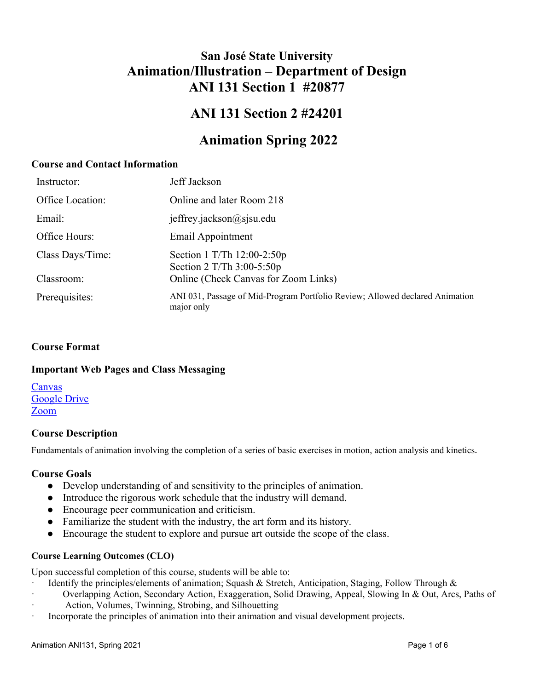# **San José State University Animation/Illustration – Department of Design ANI 131 Section 1 #20877**

# **ANI 131 Section 2 #24201**

# **Animation Spring 2022**

## **Course and Contact Information**

| Instructor:      | Jeff Jackson                                                                               |
|------------------|--------------------------------------------------------------------------------------------|
| Office Location: | Online and later Room 218                                                                  |
| Email:           | jeffrey.jackson@sjsu.edu                                                                   |
| Office Hours:    | Email Appointment                                                                          |
| Class Days/Time: | Section 1 T/Th $12:00-2:50p$<br>Section $2$ T/Th $3:00-5:50p$                              |
| Classroom:       | Online (Check Canvas for Zoom Links)                                                       |
| Prerequisites:   | ANI 031, Passage of Mid-Program Portfolio Review; Allowed declared Animation<br>major only |

## **Course Format**

### **Important Web Pages and Class Messaging**

[Canvas](https://sjsu.instructure.com/courses/1363937) [Google Drive](https://drive.google.com/drive/u/1/folders/1TI_l6JNUrk9DAyRHVnZC8nyhEK6H1UB8) [Zoom](https://zoom.us/)

## **Course Description**

Fundamentals of animation involving the completion of a series of basic exercises in motion, action analysis and kinetics*.*

### **Course Goals**

- Develop understanding of and sensitivity to the principles of animation.
- Introduce the rigorous work schedule that the industry will demand.
- Encourage peer communication and criticism.
- Familiarize the student with the industry, the art form and its history.
- Encourage the student to explore and pursue art outside the scope of the class.

### **Course Learning Outcomes (CLO)**

Upon successful completion of this course, students will be able to:

- Identify the principles/elements of animation; Squash & Stretch, Anticipation, Staging, Follow Through &
- · Overlapping Action, Secondary Action, Exaggeration, Solid Drawing, Appeal, Slowing In & Out, Arcs, Paths of · Action, Volumes, Twinning, Strobing, and Silhouetting
- · Incorporate the principles of animation into their animation and visual development projects.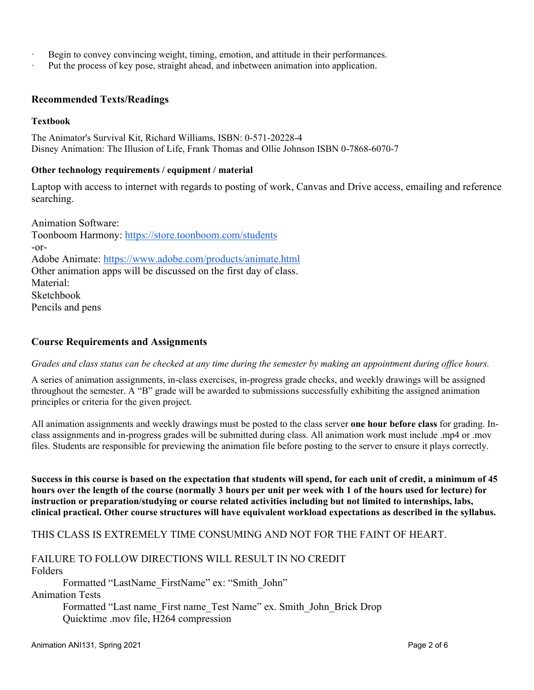- Begin to convey convincing weight, timing, emotion, and attitude in their performances.
- Put the process of key pose, straight ahead, and inbetween animation into application.

#### **Recommended Texts/Readings**

#### **Textbook**

The Animator's Survival Kit, Richard Williams, ISBN: 0-571-20228-4 Disney Animation: The Illusion of Life, Frank Thomas and Ollie Johnson ISBN 0-7868-6070-7

#### **Other technology requirements / equipment / material**

Laptop with access to internet with regards to posting of work, Canvas and Drive access, emailing and reference searching.

Animation Software: Toonboom Harmony:<https://store.toonboom.com/students> -or-Adobe Animate:<https://www.adobe.com/products/animate.html> Other animation apps will be discussed on the first day of class. Material: Sketchbook Pencils and pens

#### **Course Requirements and Assignments**

*Grades and class status can be checked at any time during the semester by making an appointment during office hours.*

A series of animation assignments, in-class exercises, in-progress grade checks, and weekly drawings will be assigned throughout the semester. A "B" grade will be awarded to submissions successfully exhibiting the assigned animation principles or criteria for the given project.

All animation assignments and weekly drawings must be posted to the class server **one hour before class** for grading. Inclass assignments and in-progress grades will be submitted during class. All animation work must include .mp4 or .mov files. Students are responsible for previewing the animation file before posting to the server to ensure it plays correctly.

**Success in this course is based on the expectation that students will spend, for each unit of credit, a minimum of 45 hours over the length of the course (normally 3 hours per unit per week with 1 of the hours used for lecture) for instruction or preparation/studying or course related activities including but not limited to internships, labs, clinical practical. Other course structures will have equivalent workload expectations as described in the syllabus.**

THIS CLASS IS EXTREMELY TIME CONSUMING AND NOT FOR THE FAINT OF HEART.

## FAILURE TO FOLLOW DIRECTIONS WILL RESULT IN NO CREDIT Folders

 Formatted "LastName\_FirstName" ex: "Smith\_John" Animation Tests Formatted "Last name\_First name\_Test Name" ex. Smith\_John\_Brick Drop

Quicktime .mov file, H264 compression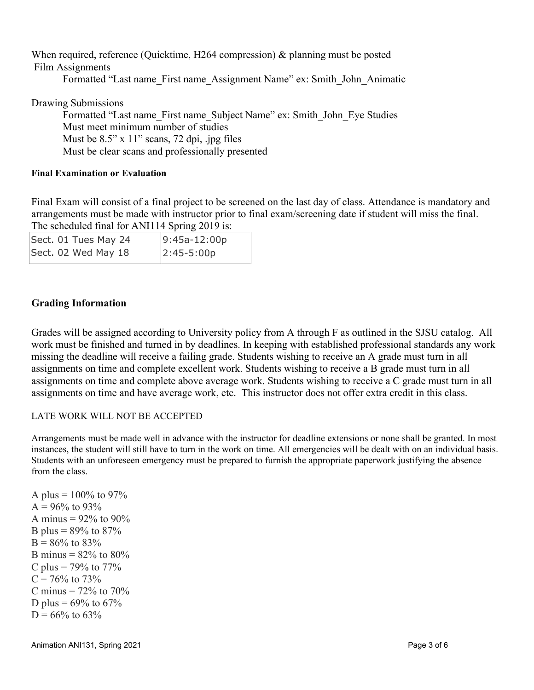When required, reference (Quicktime, H264 compression) & planning must be posted Film Assignments Formatted "Last name\_First name\_Assignment Name" ex: Smith\_John\_Animatic

Drawing Submissions

 Formatted "Last name\_First name\_Subject Name" ex: Smith\_John\_Eye Studies Must meet minimum number of studies Must be  $8.5$ " x 11" scans, 72 dpi, .jpg files Must be clear scans and professionally presented

#### **Final Examination or Evaluation**

Final Exam will consist of a final project to be screened on the last day of class. Attendance is mandatory and arrangements must be made with instructor prior to final exam/screening date if student will miss the final. The scheduled final for ANI114 Spring 2019 is:

| Sect. 01 Tues May 24 | $ 9:45a-12:00p$ |
|----------------------|-----------------|
| Sect. 02 Wed May 18  | $ 2:45-5:00p$   |

# **Grading Information**

Grades will be assigned according to University policy from A through F as outlined in the SJSU catalog. All work must be finished and turned in by deadlines. In keeping with established professional standards any work missing the deadline will receive a failing grade. Students wishing to receive an A grade must turn in all assignments on time and complete excellent work. Students wishing to receive a B grade must turn in all assignments on time and complete above average work. Students wishing to receive a C grade must turn in all assignments on time and have average work, etc. This instructor does not offer extra credit in this class.

### LATE WORK WILL NOT BE ACCEPTED

Arrangements must be made well in advance with the instructor for deadline extensions or none shall be granted. In most instances, the student will still have to turn in the work on time. All emergencies will be dealt with on an individual basis. Students with an unforeseen emergency must be prepared to furnish the appropriate paperwork justifying the absence from the class.

A plus =  $100\%$  to 97%  $A = 96\%$  to 93% A minus =  $92\%$  to  $90\%$ B plus =  $89\%$  to  $87\%$  $B = 86\%$  to 83% B minus =  $82\%$  to  $80\%$ C plus =  $79\%$  to  $77\%$  $C = 76\%$  to 73% C minus  $= 72\%$  to  $70\%$ D plus =  $69\%$  to  $67\%$  $D = 66\%$  to 63%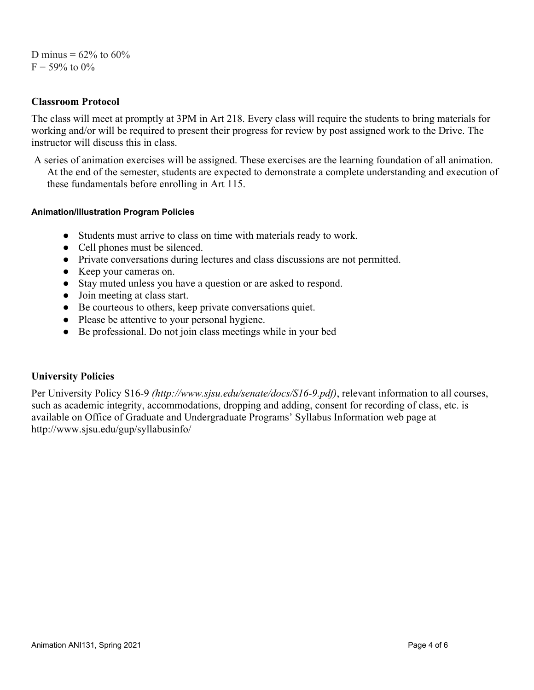## D minus =  $62\%$  to  $60\%$  $F = 59\%$  to  $0\%$

## **Classroom Protocol**

The class will meet at promptly at 3PM in Art 218. Every class will require the students to bring materials for working and/or will be required to present their progress for review by post assigned work to the Drive. The instructor will discuss this in class.

A series of animation exercises will be assigned. These exercises are the learning foundation of all animation. At the end of the semester, students are expected to demonstrate a complete understanding and execution of these fundamentals before enrolling in Art 115.

#### **Animation/Illustration Program Policies**

- Students must arrive to class on time with materials ready to work.
- Cell phones must be silenced.
- Private conversations during lectures and class discussions are not permitted.
- Keep your cameras on.
- Stay muted unless you have a question or are asked to respond.
- Join meeting at class start.
- Be courteous to others, keep private conversations quiet.
- Please be attentive to your personal hygiene.
- Be professional. Do not join class meetings while in your bed

## **University Policies**

Per University Policy S16-9 *(http://www.sjsu.edu/senate/docs/S16-9.pdf)*, relevant information to all courses, such as academic integrity, accommodations, dropping and adding, consent for recording of class, etc. is available on Office of Graduate and Undergraduate Programs' Syllabus Information web page at http://www.sjsu.edu/gup/syllabusinfo/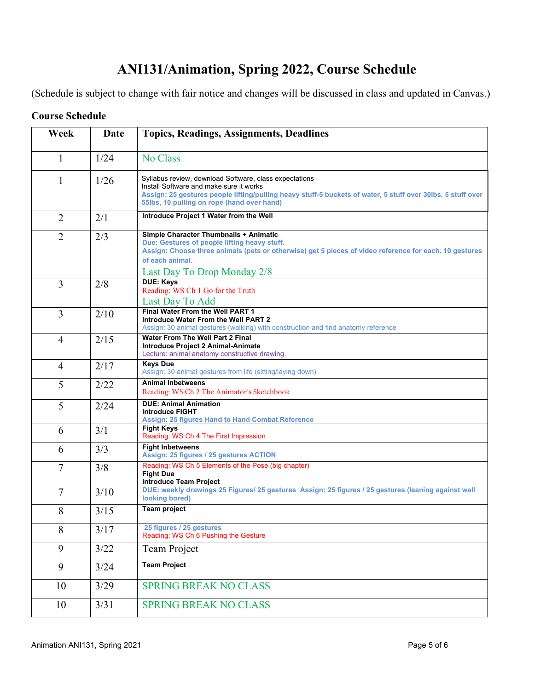# **ANI131/Animation, Spring 2022, Course Schedule**

(Schedule is subject to change with fair notice and changes will be discussed in class and updated in Canvas.)

| Week           | Date | <b>Topics, Readings, Assignments, Deadlines</b>                                                                                                                                                                                                                |
|----------------|------|----------------------------------------------------------------------------------------------------------------------------------------------------------------------------------------------------------------------------------------------------------------|
|                |      |                                                                                                                                                                                                                                                                |
| $\mathbf{1}$   | 1/24 | No Class                                                                                                                                                                                                                                                       |
| $\mathbf{1}$   | 1/26 | Syllabus review, download Software, class expectations<br>Install Software and make sure it works<br>Assign: 25 gestures people lifting/pulling heavy stuff-5 buckets of water, 5 stuff over 30lbs, 5 stuff over<br>55lbs, 10 pulling on rope (hand over hand) |
| $\overline{2}$ | 2/1  | Introduce Project 1 Water from the Well                                                                                                                                                                                                                        |
| $\overline{2}$ | 2/3  | Simple Character Thumbnails + Animatic<br>Due: Gestures of people lifting heavy stuff.<br>Assign: Choose three animals (pets or otherwise) get 5 pieces of video reference for each. 10 gestures<br>of each animal.<br>Last Day To Drop Monday 2/8             |
| 3              | 2/8  | <b>DUE: Keys</b><br>Reading: WS Ch 1 Go for the Truth<br>Last Day To Add                                                                                                                                                                                       |
| $\overline{3}$ | 2/10 | Final Water From the Well PART 1<br>Introduce Water From the Well PART 2<br>Assign: 30 animal gestures (walking) with construction and find anatomy reference                                                                                                  |
| $\overline{4}$ | 2/15 | Water From The Well Part 2 Final<br>Introduce Project 2 Animal-Animate<br>Lecture: animal anatomy constructive drawing.                                                                                                                                        |
| $\overline{4}$ | 2/17 | <b>Keys Due</b><br>Assign: 30 animal gestures from life (sitting/laying down)                                                                                                                                                                                  |
| 5              | 2/22 | <b>Animal Inbetweens</b><br>Reading: WS Ch 2 The Animator's Sketchbook                                                                                                                                                                                         |
| 5              | 2/24 | <b>DUE: Animal Animation</b><br><b>Introduce FIGHT</b><br><b>Assign: 25 figures Hand to Hand Combat Reference</b>                                                                                                                                              |
| 6              | 3/1  | <b>Fight Keys</b><br>Reading: WS Ch 4 The First Impression                                                                                                                                                                                                     |
| 6              | 3/3  | <b>Fight Inbetweens</b><br>Assign: 25 figures / 25 gestures ACTION                                                                                                                                                                                             |
| $\overline{7}$ | 3/8  | Reading: WS Ch 5 Elements of the Pose (big chapter)<br><b>Fight Due</b><br><b>Introduce Team Project</b>                                                                                                                                                       |
| $\overline{7}$ | 3/10 | DUE: weekly drawings 25 Figures/ 25 gestures Assign: 25 figures / 25 gestures (leaning against wall<br>looking bored)                                                                                                                                          |
| 8              | 3/15 | <b>Team project</b>                                                                                                                                                                                                                                            |
| 8              | 3/17 | 25 figures / 25 gestures<br>Reading: WS Ch 6 Pushing the Gesture                                                                                                                                                                                               |
| 9              | 3/22 | Team Project                                                                                                                                                                                                                                                   |
| 9              | 3/24 | <b>Team Project</b>                                                                                                                                                                                                                                            |
| 10             | 3/29 | <b>SPRING BREAK NO CLASS</b>                                                                                                                                                                                                                                   |
| 10             | 3/31 | <b>SPRING BREAK NO CLASS</b>                                                                                                                                                                                                                                   |

# **Course Schedule**